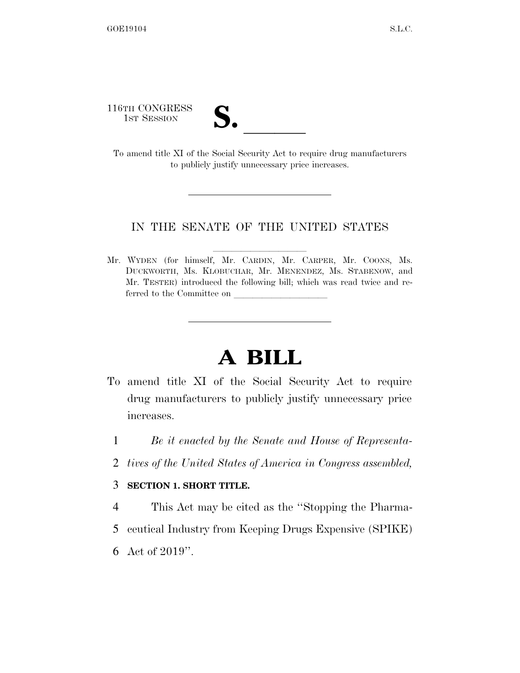116TH CONGRESS

16TH CONGRESS<br>
1st Session<br>
To amend title XI of the Social Security Act to require drug manufacturers to publicly justify unnecessary price increases.

## IN THE SENATE OF THE UNITED STATES

Mr. WYDEN (for himself, Mr. CARDIN, Mr. CARPER, Mr. COONS, Ms. DUCKWORTH, Ms. KLOBUCHAR, Mr. MENENDEZ, Ms. STABENOW, and Mr. TESTER) introduced the following bill; which was read twice and referred to the Committee on

# **A BILL**

- To amend title XI of the Social Security Act to require drug manufacturers to publicly justify unnecessary price increases.
	- 1 *Be it enacted by the Senate and House of Representa-*
	- 2 *tives of the United States of America in Congress assembled,*

#### 3 **SECTION 1. SHORT TITLE.**

- 4 This Act may be cited as the ''Stopping the Pharma-
- 5 ceutical Industry from Keeping Drugs Expensive (SPIKE)
- 6 Act of 2019''.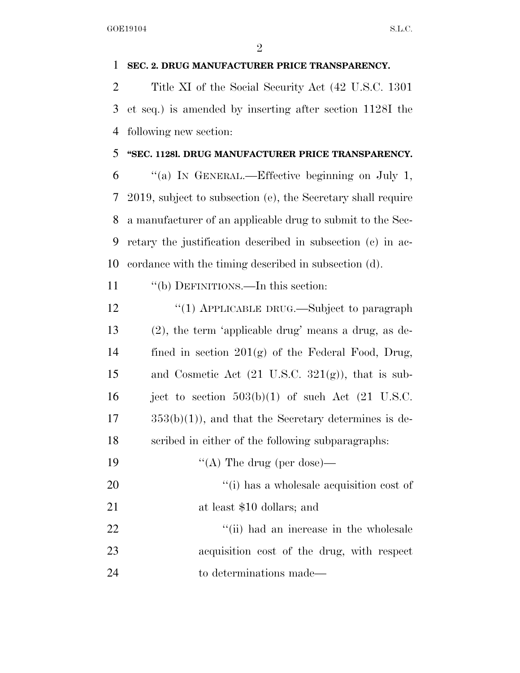## **SEC. 2. DRUG MANUFACTURER PRICE TRANSPARENCY.**

 Title XI of the Social Security Act (42 U.S.C. 1301 et seq.) is amended by inserting after section 1128I the following new section:

## **''SEC. 1128l. DRUG MANUFACTURER PRICE TRANSPARENCY.**

 ''(a) IN GENERAL.—Effective beginning on July 1, 2019, subject to subsection (e), the Secretary shall require a manufacturer of an applicable drug to submit to the Sec- retary the justification described in subsection (c) in ac-cordance with the timing described in subsection (d).

11 "(b) DEFINITIONS.—In this section:

12 "(1) APPLICABLE DRUG.—Subject to paragraph (2), the term 'applicable drug' means a drug, as de-14 fined in section  $201(g)$  of the Federal Food, Drug, 15 and Cosmetic Act  $(21 \text{ U.S.C. } 321(g))$ , that is sub-16 ject to section  $503(b)(1)$  of such Act  $(21 \text{ U.S.C.})$  $17 \qquad \qquad 353(b)(1)$ , and that the Secretary determines is de-scribed in either of the following subparagraphs:

- 19  $((A)$  The drug (per dose)—
- 20  $\frac{1}{1}$  has a wholesale acquisition cost of at least \$10 dollars; and

22 ''(ii) had an increase in the wholesale acquisition cost of the drug, with respect to determinations made—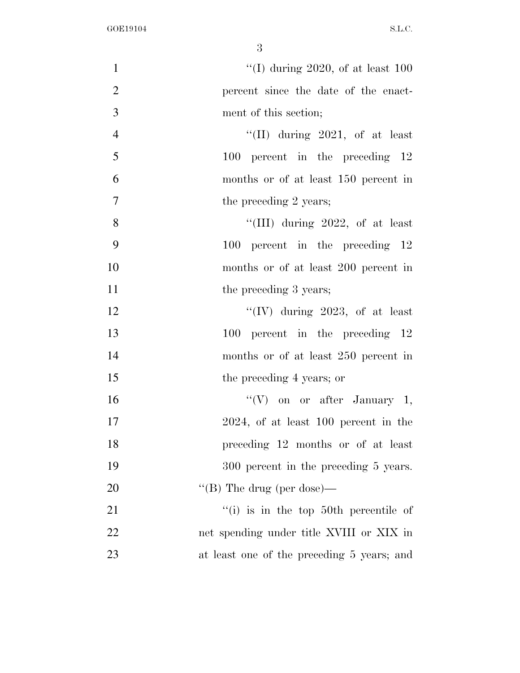| $\mathbf{1}$   | "(I) during 2020, of at least $100$        |
|----------------|--------------------------------------------|
| $\overline{2}$ | percent since the date of the enact-       |
| 3              | ment of this section;                      |
| $\overline{4}$ | "(II) during $2021$ , of at least          |
| 5              | $100$ percent in the preceding $12$        |
| 6              | months or of at least 150 percent in       |
| $\overline{7}$ | the preceding 2 years;                     |
| 8              | "(III) during $2022$ , of at least         |
| 9              | 100 percent in the preceding 12            |
| 10             | months or of at least 200 percent in       |
| 11             | the preceding 3 years;                     |
| 12             | "(IV) during 2023, of at least             |
| 13             | 100 percent in the preceding 12            |
| 14             | months or of at least 250 percent in       |
| 15             | the preceding 4 years; or                  |
| 16             | "(V) on or after January 1,                |
| 17             | $2024$ , of at least 100 percent in the    |
| 18             | preceding 12 months or of at least         |
| 19             | 300 percent in the preceding 5 years.      |
| 20             | "(B) The drug (per dose)—                  |
| 21             | $f'(i)$ is in the top 50th percentile of   |
| 22             | net spending under title XVIII or XIX in   |
| 23             | at least one of the preceding 5 years; and |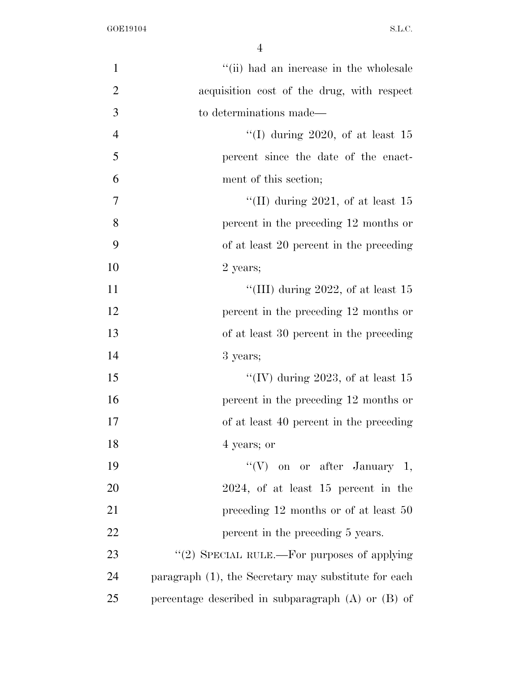| $\mathbf{1}$   | "(ii) had an increase in the wholesale                 |
|----------------|--------------------------------------------------------|
| $\overline{2}$ | acquisition cost of the drug, with respect             |
| 3              | to determinations made—                                |
| $\overline{4}$ | "(I) during 2020, of at least $15$                     |
| 5              | percent since the date of the enact-                   |
| 6              | ment of this section;                                  |
| 7              | "(II) during 2021, of at least $15$                    |
| 8              | percent in the preceding 12 months or                  |
| 9              | of at least 20 percent in the preceding                |
| 10             | 2 years;                                               |
| 11             | "(III) during 2022, of at least $15$                   |
| 12             | percent in the preceding 12 months or                  |
| 13             | of at least 30 percent in the preceding                |
| 14             | 3 years;                                               |
| 15             | "(IV) during 2023, of at least $15$                    |
| 16             | percent in the preceding 12 months or                  |
| 17             | of at least 40 percent in the preceding                |
| 18             | 4 years; or                                            |
| 19             | "(V) on or after January 1,                            |
| 20             | $2024$ , of at least 15 percent in the                 |
| 21             | preceding 12 months or of at least 50                  |
| 22             | percent in the preceding 5 years.                      |
| 23             | "(2) SPECIAL RULE.—For purposes of applying            |
| 24             | paragraph (1), the Secretary may substitute for each   |
| 25             | percentage described in subparagraph $(A)$ or $(B)$ of |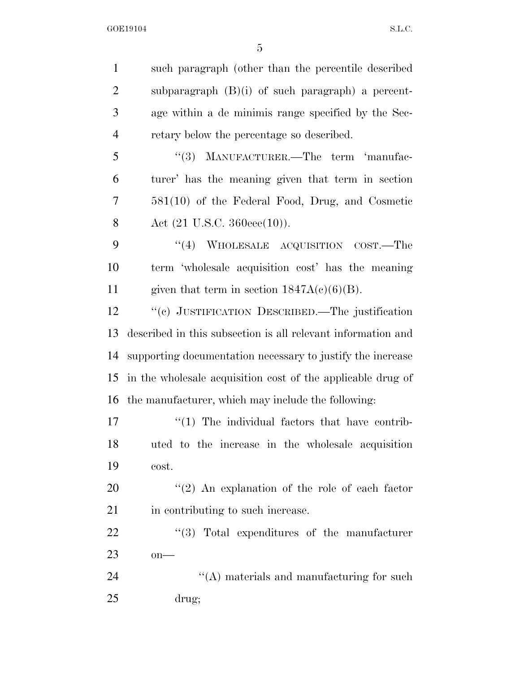such paragraph (other than the percentile described subparagraph (B)(i) of such paragraph) a percent- age within a de minimis range specified by the Sec- retary below the percentage so described. 5 "(3) MANUFACTURER.—The term 'manufac- turer' has the meaning given that term in section 581(10) of the Federal Food, Drug, and Cosmetic 8 Act (21 U.S.C. 360eee(10)). 9 "(4) WHOLESALE ACQUISITION COST.—The term 'wholesale acquisition cost' has the meaning 11 given that term in section  $1847A(c)(6)(B)$ . ''(c) JUSTIFICATION DESCRIBED.—The justification described in this subsection is all relevant information and supporting documentation necessary to justify the increase in the wholesale acquisition cost of the applicable drug of the manufacturer, which may include the following:  $\frac{17}{2}$  The individual factors that have contrib- uted to the increase in the wholesale acquisition cost.  $\frac{1}{2}$  An explanation of the role of each factor 21 in contributing to such increase.  $\frac{1}{2}$   $\frac{1}{2}$   $\frac{1}{2}$   $\frac{1}{2}$   $\frac{1}{2}$   $\frac{1}{2}$   $\frac{1}{2}$   $\frac{1}{2}$   $\frac{1}{2}$   $\frac{1}{2}$   $\frac{1}{2}$   $\frac{1}{2}$   $\frac{1}{2}$   $\frac{1}{2}$   $\frac{1}{2}$   $\frac{1}{2}$   $\frac{1}{2}$   $\frac{1}{2}$   $\frac{1}{2}$   $\frac{1}{2}$   $\frac{1}{2}$   $\frac{1}{2}$  on— 24 ''(A) materials and manufacturing for such drug;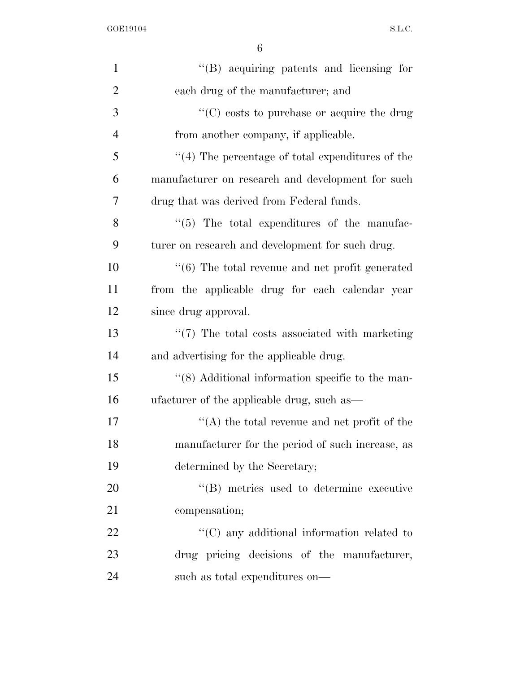| $\mathbf{1}$   | $\lq\lq(B)$ acquiring patents and licensing for             |
|----------------|-------------------------------------------------------------|
| $\overline{2}$ | each drug of the manufacturer; and                          |
| 3              | $\cdot$ (C) costs to purchase or acquire the drug           |
| $\overline{4}$ | from another company, if applicable.                        |
| 5              | $\lq(4)$ The percentage of total expenditures of the        |
| 6              | manufacturer on research and development for such           |
| 7              | drug that was derived from Federal funds.                   |
| 8              | $\lq(5)$ The total expenditures of the manufac-             |
| 9              | turer on research and development for such drug.            |
| 10             | $\cdot\cdot$ (6) The total revenue and net profit generated |
| 11             | from the applicable drug for each calendar year             |
| 12             | since drug approval.                                        |
| 13             | $\lq(7)$ The total costs associated with marketing          |
| 14             | and advertising for the applicable drug.                    |
| 15             | "(8) Additional information specific to the man-            |
| 16             | ufacturer of the applicable drug, such as—                  |
| 17             | $\lq\lq$ the total revenue and net profit of the            |
| 18             | manufacturer for the period of such increase, as            |
| 19             | determined by the Secretary;                                |
| 20             | "(B) metrics used to determine executive                    |
| 21             | compensation;                                               |
| 22             | $\lq\lq$ (C) any additional information related to          |
| 23             | drug pricing decisions of the manufacturer,                 |
| 24             | such as total expenditures on—                              |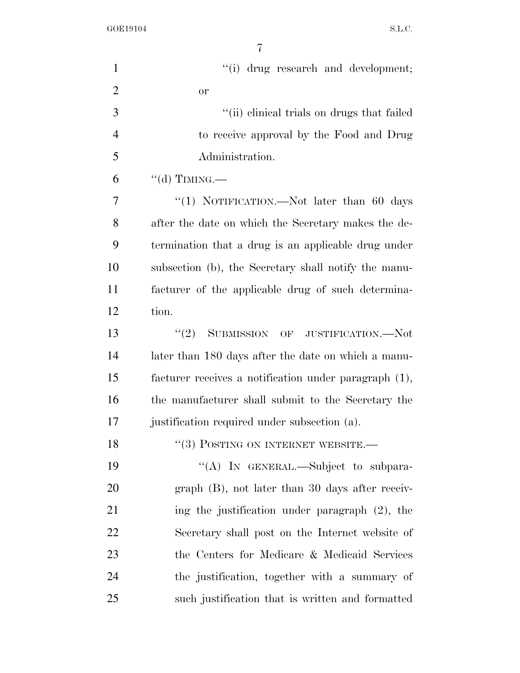| $\mathbf{1}$   | "(i) drug research and development;                   |
|----------------|-------------------------------------------------------|
| $\overline{2}$ | <b>or</b>                                             |
| 3              | "(ii) clinical trials on drugs that failed            |
| $\overline{4}$ | to receive approval by the Food and Drug              |
| 5              | Administration.                                       |
| 6              | "(d) TIMING.—                                         |
| 7              | "(1) NOTIFICATION.—Not later than 60 days             |
| 8              | after the date on which the Secretary makes the de-   |
| 9              | termination that a drug is an applicable drug under   |
| 10             | subsection (b), the Secretary shall notify the manu-  |
| 11             | facturer of the applicable drug of such determina-    |
| 12             | tion.                                                 |
| 13             | (2)<br>SUBMISSION OF JUSTIFICATION.-Not               |
| 14             | later than 180 days after the date on which a manu-   |
| 15             | facturer receives a notification under paragraph (1), |
| 16             | the manufacturer shall submit to the Secretary the    |
| 17             | justification required under subsection (a).          |
| 18             | $``(3)$ POSTING ON INTERNET WEBSITE.                  |
| 19             | "(A) IN GENERAL.—Subject to subpara-                  |
| 20             | $graph$ (B), not later than 30 days after receiv-     |
| 21             | ing the justification under paragraph (2), the        |
| 22             | Secretary shall post on the Internet website of       |
| 23             | the Centers for Medicare & Medicaid Services          |
| 24             | the justification, together with a summary of         |
| 25             | such justification that is written and formatted      |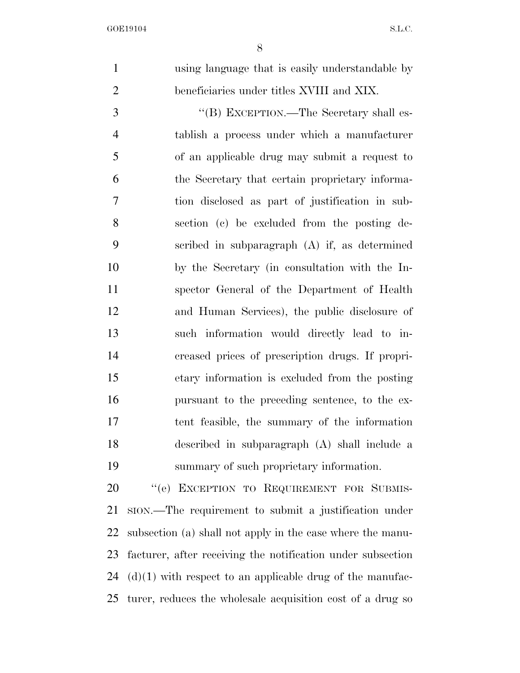using language that is easily understandable by beneficiaries under titles XVIII and XIX. ''(B) EXCEPTION.—The Secretary shall es- tablish a process under which a manufacturer of an applicable drug may submit a request to the Secretary that certain proprietary informa- tion disclosed as part of justification in sub- section (c) be excluded from the posting de- scribed in subparagraph (A) if, as determined by the Secretary (in consultation with the In- spector General of the Department of Health and Human Services), the public disclosure of such information would directly lead to in- creased prices of prescription drugs. If propri- etary information is excluded from the posting pursuant to the preceding sentence, to the ex- tent feasible, the summary of the information described in subparagraph (A) shall include a summary of such proprietary information. 20 "(e) EXCEPTION TO REQUIREMENT FOR SUBMIS-

 SION.—The requirement to submit a justification under subsection (a) shall not apply in the case where the manu- facturer, after receiving the notification under subsection  $(d)(1)$  with respect to an applicable drug of the manufac-turer, reduces the wholesale acquisition cost of a drug so